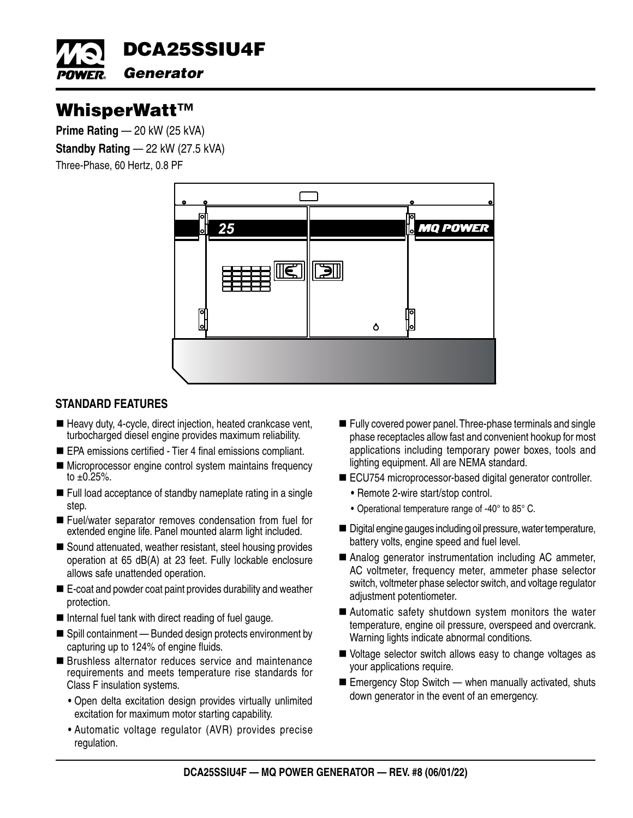

# WhisperWatt™

**Prime Rating — 20 kW (25 kVA) Standby Rating — 22 kW (27.5 kVA)** Three-Phase, 60 Hertz, 0.8 PF



# **STANDARD FEATURES**

- $\blacksquare$  Heavy duty, 4-cycle, direct injection, heated crankcase vent, turbocharged diesel engine provides maximum reliability.
- EPA emissions certified Tier 4 final emissions compliant.
- Microprocessor engine control system maintains frequency to  $\pm 0.25%$ .
- Full load acceptance of standby nameplate rating in a single step.
- Fuel/water separator removes condensation from fuel for extended engine life. Panel mounted alarm light included.
- Sound attenuated, weather resistant, steel housing provides operation at 65 dB(A) at 23 feet. Fully lockable enclosure allows safe unattended operation.
- E-coat and powder coat paint provides durability and weather protection.
- $\blacksquare$  Internal fuel tank with direct reading of fuel gauge.
- Spill containment Bunded design protects environment by capturing up to 124% of engine fluids.
- **Brushless alternator reduces service and maintenance** requirements and meets temperature rise standards for Class F insulation systems.
	- Open delta excitation design provides virtually unlimited excitation for maximum motor starting capability.
	- Automatic voltage regulator (AVR) provides precise regulation.
- Fully covered power panel. Three-phase terminals and single phase receptacles allow fast and convenient hookup for most applications including temporary power boxes, tools and lighting equipment. All are NEMA standard.
- ECU754 microprocessor-based digital generator controller.
	- Remote 2-wire start/stop control.
	- Operational temperature range of -40° to 85° C.
- Digital engine gauges including oil pressure, water temperature, battery volts, engine speed and fuel level.
- Analog generator instrumentation including AC ammeter, AC voltmeter, frequency meter, ammeter phase selector switch, voltmeter phase selector switch, and voltage regulator adjustment potentiometer.
- Automatic safety shutdown system monitors the water temperature, engine oil pressure, overspeed and overcrank. Warning lights indicate abnormal conditions.
- Ublage selector switch allows easy to change voltages as your applications require.
- $\blacksquare$  Emergency Stop Switch when manually activated, shuts down generator in the event of an emergency.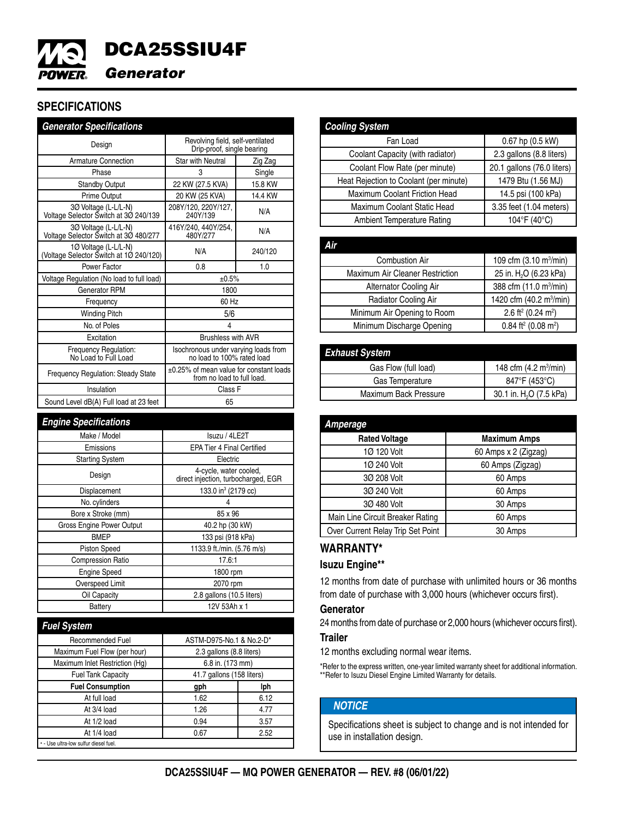

# **SPECIFICATIONS**

| <b>Generator Specifications</b>                                 |                                                                       |         |
|-----------------------------------------------------------------|-----------------------------------------------------------------------|---------|
| Design                                                          | Revolving field, self-ventilated<br>Drip-proof, single bearing        |         |
| <b>Armature Connection</b>                                      | <b>Star with Neutral</b>                                              | Zig Zag |
| Phase                                                           | 3                                                                     | Single  |
| <b>Standby Output</b>                                           | 22 KW (27.5 KVA)                                                      | 15.8 KW |
| <b>Prime Output</b>                                             | 20 KW (25 KVA)                                                        | 14.4 KW |
| 30 Voltage (L-L/L-N)<br>Voltage Selector Switch at 30 240/139   | 208Y/120, 220Y/127,<br>240Y/139                                       | N/A     |
| 30 Voltage (L-L/L-N)<br>Voltage Selector Switch at 30 480/277   | 416Y/240, 440Y/254,<br>480Y/277                                       | N/A     |
| 1Ø Voltage (L-L/L-N)<br>(Voltage Selector Switch at 1Ø 240/120) | N/A                                                                   | 240/120 |
| Power Factor                                                    | 0.8                                                                   | 1.0     |
| Voltage Regulation (No load to full load)                       | ±0.5%                                                                 |         |
| <b>Generator RPM</b>                                            | 1800                                                                  |         |
| Frequency                                                       | 60 Hz                                                                 |         |
| <b>Winding Pitch</b>                                            | 5/6                                                                   |         |
| No. of Poles                                                    | 4                                                                     |         |
| Excitation                                                      | <b>Brushless with AVR</b>                                             |         |
| Frequency Regulation:<br>No Load to Full Load                   | Isochronous under varying loads from<br>no load to 100% rated load    |         |
| <b>Frequency Regulation: Steady State</b>                       | ±0.25% of mean value for constant loads<br>from no load to full load. |         |
| Insulation                                                      | Class F                                                               |         |
| Sound Level dB(A) Full load at 23 feet                          | 65                                                                    |         |

| <b>Engine Specifications</b>     |                                                               |
|----------------------------------|---------------------------------------------------------------|
| Make / Model                     | Isuzu / 4LE2T                                                 |
| Emissions                        | <b>EPA Tier 4 Final Certified</b>                             |
| <b>Starting System</b>           | Electric                                                      |
| Design                           | 4-cycle, water cooled,<br>direct injection, turbocharged, EGR |
| Displacement                     | 133.0 in <sup>3</sup> (2179 cc)                               |
| No. cylinders                    |                                                               |
| Bore x Stroke (mm)               | 85 x 96                                                       |
| <b>Gross Engine Power Output</b> | 40.2 hp (30 kW)                                               |
| <b>BMEP</b>                      | 133 psi (918 kPa)                                             |
| <b>Piston Speed</b>              | 1133.9 ft./min. (5.76 m/s)                                    |
| <b>Compression Ratio</b>         | 17.6:1                                                        |
| <b>Engine Speed</b>              | 1800 rpm                                                      |
| Overspeed Limit                  | 2070 rpm                                                      |
| Oil Capacity                     | 2.8 gallons (10.5 liters)                                     |
| Battery                          | 12V 53Ah x 1                                                  |

| <b>Fuel System</b>                    |                           |      |
|---------------------------------------|---------------------------|------|
| <b>Recommended Fuel</b>               | ASTM-D975-No.1 & No.2-D*  |      |
| Maximum Fuel Flow (per hour)          | 2.3 gallons (8.8 liters)  |      |
| Maximum Inlet Restriction (Hg)        | 6.8 in. (173 mm)          |      |
| <b>Fuel Tank Capacity</b>             | 41.7 gallons (158 liters) |      |
| <b>Fuel Consumption</b>               | gph                       | lph  |
| At full load                          | 1.62                      | 6.12 |
| At 3/4 load                           | 1.26                      | 4.77 |
| At 1/2 load                           | 0.94                      | 3.57 |
| At 1/4 load                           | 0.67                      | 2.52 |
| * - Use ultra-low sulfur diesel fuel. |                           |      |

| <b>Cooling System</b>                  |                            |
|----------------------------------------|----------------------------|
| Fan Load                               | 0.67 hp (0.5 kW)           |
| Coolant Capacity (with radiator)       | 2.3 gallons (8.8 liters)   |
| Coolant Flow Rate (per minute)         | 20.1 gallons (76.0 liters) |
| Heat Rejection to Coolant (per minute) | 1479 Btu (1.56 MJ)         |
| Maximum Coolant Friction Head          | 14.5 psi (100 kPa)         |
| Maximum Coolant Static Head            | 3.35 feet (1.04 meters)    |
| Ambient Temperature Rating             | 104°F (40°C)               |
|                                        |                            |

| 109 cfm (3.10 m <sup>3</sup> /min)            |
|-----------------------------------------------|
| 25 in. H <sub>2</sub> O (6.23 kPa)            |
| 388 cfm (11.0 m <sup>3</sup> /min)            |
| 1420 cfm (40.2 m <sup>3</sup> /min)           |
| 2.6 ft <sup>2</sup> (0.24 m <sup>2</sup> )    |
| $0.84$ ft <sup>2</sup> (0.08 m <sup>2</sup> ) |
|                                               |

| <b>Exhaust System</b> |                                        |
|-----------------------|----------------------------------------|
| Gas Flow (full load)  | 148 cfm $(4.2 \text{ m}^3/\text{min})$ |
| Gas Temperature       | 847°F (453°C)                          |
| Maximum Back Pressure | 30.1 in. H <sub>2</sub> O (7.5 kPa)    |

| Amperage                          |                      |
|-----------------------------------|----------------------|
| <b>Rated Voltage</b>              | <b>Maximum Amps</b>  |
| 1Ø 120 Volt                       | 60 Amps x 2 (Zigzag) |
| 1Ø 240 Volt                       | 60 Amps (Zigzag)     |
| 30 208 Volt                       | 60 Amps              |
| 30 240 Volt                       | 60 Amps              |
| 30 480 Volt                       | 30 Amps              |
| Main Line Circuit Breaker Rating  | 60 Amps              |
| Over Current Relay Trip Set Point | 30 Amps              |

## **WARRANTY\***

#### **Isuzu Engine\*\***

12 months from date of purchase with unlimited hours or 36 months from date of purchase with 3,000 hours (whichever occurs first).

### **Generator**

24 months from date of purchase or 2,000 hours (whichever occurs first).

### **Trailer**

12 months excluding normal wear items.

\*Refer to the express written, one-year limited warranty sheet for additional information. \*\*Refer to Isuzu Diesel Engine Limited Warranty for details.

# *NOTICE*

Specifications sheet is subject to change and is not intended for use in installation design.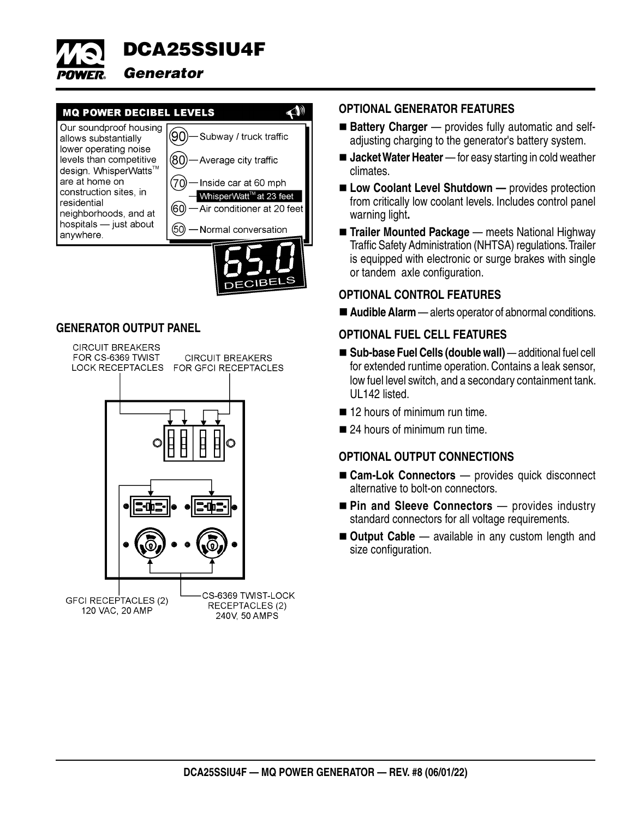

# **MQ POWER DECIBEL LEVELS**



 $\triangle$ 

## **GENERATOR OUTPUT PANEL**



## **OPTIONAL GENERATOR FEATURES**

- **Battery Charger**  provides fully automatic and selfadjusting charging to the generator's battery system.
- **Jacket Water Heater** for easy starting in cold weather climates.
- **Low Coolant Level Shutdown** provides protection from critically low coolant levels. Includes control panel warning light**.**
- **Trailer Mounted Package** meets National Highway Traffic Safety Administration (NHTSA) regulations. Trailer is equipped with electronic or surge brakes with single or tandem axle configuration.

## **OPTIONAL CONTROL FEATURES**

**Audible Alarm** — alerts operator of abnormal conditions.

## **OPTIONAL FUEL CELL FEATURES**

- **Sub-base Fuel Cells (double wall)**  additional fuel cell for extended runtime operation. Contains a leak sensor, low fuel level switch, and a secondary containment tank. UL142 listed.
- 12 hours of minimum run time.
- 24 hours of minimum run time.

# **OPTIONAL OUTPUT CONNECTIONS**

- Cam-Lok Connectors provides quick disconnect alternative to bolt-on connectors.
- Pin and Sleeve Connectors provides industry standard connectors for all voltage requirements.
- Output Cable available in any custom length and size configuration.